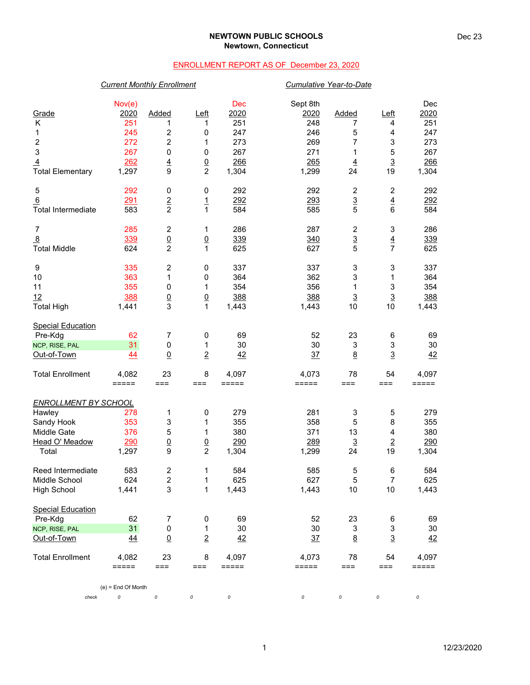### **NEWTOWN PUBLIC SCHOOLS Newtown, Connecticut**

## ENROLLMENT REPORT AS OF December 23, 2020

## *Current Monthly Enrollment Cumulative Year-to-Date*

|                             | Nov(e)               |                         |                                 | Dec              | Sept 8th       |                         |                      | Dec            |
|-----------------------------|----------------------|-------------------------|---------------------------------|------------------|----------------|-------------------------|----------------------|----------------|
| Grade                       | 2020                 | Added                   | Left                            | 2020             | 2020           | Added                   | Left                 | 2020           |
| Κ                           | 251                  | 1                       | 1                               | 251              | 248            | 7                       | 4                    | 251            |
| 1                           | 245                  | 2                       | 0                               | 247              | 246            | 5                       | 4                    | 247            |
| $\boldsymbol{2}$            | 272                  | $\overline{c}$          | 1                               | 273              | 269            | 7                       | 3                    | 273            |
| 3                           | 267                  | 0                       | $\mathbf 0$                     | 267              | 271            | 1                       | 5                    | 267            |
| $\overline{4}$              | 262                  | $\overline{4}$          | $\frac{0}{2}$                   | 266              | 265            | $\overline{4}$          | $\overline{3}$       | 266            |
| <b>Total Elementary</b>     | 1,297                | 9                       |                                 | 1,304            | 1,299          | 24                      | 19                   | 1,304          |
| 5                           | 292                  | 0                       | 0                               | 292              | 292            | $\overline{\mathbf{c}}$ | $\overline{c}$       | 292            |
| 6                           | 291                  | $\overline{2}$          | $\overline{1}$                  | 292              | 293            | $\overline{3}$          | $\overline{4}$       | 292            |
| <b>Total Intermediate</b>   | 583                  | $\overline{c}$          | 1                               | 584              | 585            | 5                       | 6                    | 584            |
| 7                           | 285                  | $\overline{\mathbf{c}}$ | 1                               | 286              | 287            | $\overline{\mathbf{c}}$ | 3                    | 286            |
| $\overline{8}$              | 339                  | $\underline{0}$         | $\underline{0}$                 | 339              | 340            |                         |                      | 339            |
| <b>Total Middle</b>         | 624                  | $\overline{2}$          | 1                               | 625              | 627            | $\frac{3}{5}$           | $\frac{4}{7}$        | 625            |
| 9                           | 335                  | $\boldsymbol{2}$        | 0                               | 337              | 337            | 3                       | 3                    | 337            |
|                             |                      | 1                       |                                 | 364              | 362            |                         |                      |                |
| 10<br>11                    | 363<br>355           | 0                       | 0<br>1                          | 354              | 356            | 3<br>1                  | 1<br>3               | 364<br>354     |
|                             |                      |                         |                                 |                  |                |                         |                      |                |
| 12                          | 388                  | $\underline{0}$<br>3    | $\underline{0}$<br>$\mathbf{1}$ | 388              | 388            | $\overline{3}$<br>10    | $\overline{3}$<br>10 | 388            |
| <b>Total High</b>           | 1,441                |                         |                                 | 1,443            | 1,443          |                         |                      | 1,443          |
| <b>Special Education</b>    |                      |                         |                                 |                  |                |                         |                      |                |
| Pre-Kdg                     | 62                   | 7                       | 0                               | 69               | 52             | 23                      | 6                    | 69             |
| NCP, RISE, PAL              | 31                   | 0                       | 1                               | 30               | 30             | 3                       | 3                    | 30             |
| Out-of-Town                 | 44                   | $\underline{0}$         | $\overline{2}$                  | 42               | 37             | 8                       | $\overline{3}$       | 42             |
| <b>Total Enrollment</b>     | 4,082                | 23                      | 8                               | 4,097            | 4,073          | 78                      | 54                   | 4,097          |
|                             | $=====$              | $===$                   | $==$                            | =====            | =====          | $==$                    | ===                  | =====          |
| <b>ENROLLMENT BY SCHOOL</b> |                      |                         |                                 |                  |                |                         |                      |                |
| Hawley                      | 278                  | 1                       | $\pmb{0}$                       | 279              | 281            | 3                       | 5                    | 279            |
| Sandy Hook                  | 353                  | 3                       | 1                               | 355              | 358            | 5                       | 8                    | 355            |
| Middle Gate                 | 376                  | 5                       | 1                               | 380              | 371            | 13                      | 4                    | 380            |
| Head O' Meadow              | 290                  | $\underline{0}$         | $\overline{0}$                  | 290              | 289            | $\underline{3}$         | $\overline{2}$       | <u>290</u>     |
| Total                       | 1,297                | 9                       | $\overline{c}$                  | 1,304            | 1,299          | 24                      | 19                   | 1,304          |
| Reed Intermediate           | 583                  | $\overline{\mathbf{c}}$ | 1                               | 584              | 585            | 5                       | 6                    | 584            |
| Middle School               | 624                  | $\overline{c}$          | 1                               | 625              | 627            | 5                       | 7                    | 625            |
| High School                 | 1,441                | 3                       | 1                               | 1,443            | 1,443          | 10                      | 10                   | 1,443          |
| <b>Special Education</b>    |                      |                         |                                 |                  |                |                         |                      |                |
| Pre-Kdg                     | 62                   | 7                       | 0                               | 69               | 52             | 23                      | 6                    | 69             |
| NCP, RISE, PAL              | 31                   | $\mathsf 0$             | 1                               | 30               | 30             | 3                       | $\mathsf 3$          | $30\,$         |
| Out-of-Town                 | $\overline{44}$      | $\underline{0}$         | $\overline{2}$                  | 42               | 37             | $\underline{8}$         | $\overline{3}$       | 42             |
|                             |                      |                         |                                 |                  |                |                         |                      |                |
| <b>Total Enrollment</b>     | 4,082<br>=====       | 23<br>$===$             | 8<br>===                        | 4,097<br>$=====$ | 4,073<br>===== | 78<br>$==$              | 54<br>===            | 4,097<br>===== |
|                             |                      |                         |                                 |                  |                |                         |                      |                |
|                             | $(e)$ = End Of Month |                         |                                 |                  |                |                         |                      |                |
| check                       | 0                    | 0                       | 0                               | 0                | 0              | 0                       | 0                    | 0              |